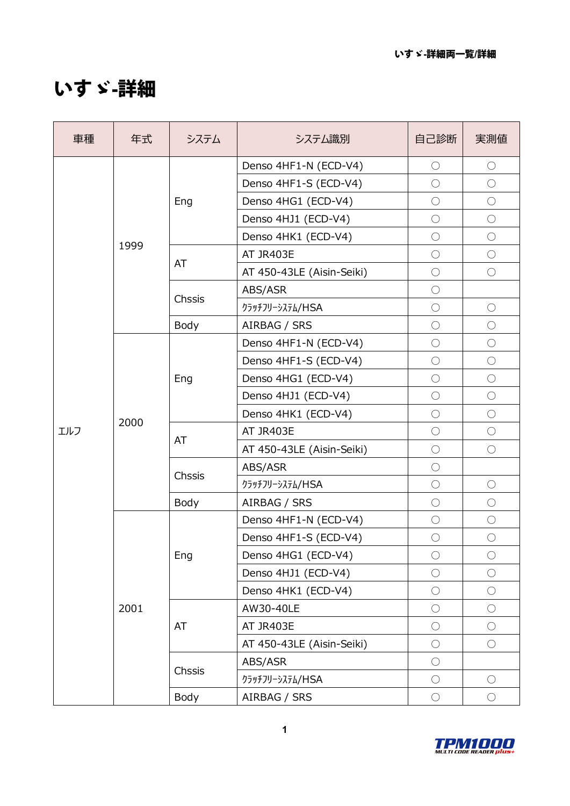## いすゞ**-**詳細

| 車種  | 年式   | システム   | システム識別                    | 自己診断       | 実測値        |
|-----|------|--------|---------------------------|------------|------------|
|     |      |        | Denso 4HF1-N (ECD-V4)     | $\bigcirc$ | $\bigcirc$ |
|     |      |        | Denso 4HF1-S (ECD-V4)     | $\bigcirc$ | $\bigcirc$ |
|     |      | Eng    | Denso 4HG1 (ECD-V4)       | $\bigcirc$ | $\bigcirc$ |
|     |      |        | Denso 4HJ1 (ECD-V4)       | $\bigcirc$ | $\bigcirc$ |
|     | 1999 |        | Denso 4HK1 (ECD-V4)       | $\bigcirc$ | $\bigcirc$ |
|     |      | AT     | AT JR403E                 | $\bigcirc$ | $\bigcirc$ |
|     |      |        | AT 450-43LE (Aisin-Seiki) | $\bigcirc$ | $\bigcirc$ |
|     |      |        | ABS/ASR                   | $\bigcirc$ |            |
|     |      | Chssis | クラッチフリーシステム/HSA           | $\bigcirc$ | $\bigcirc$ |
|     |      | Body   | AIRBAG / SRS              | $\bigcirc$ | $\bigcirc$ |
|     |      |        | Denso 4HF1-N (ECD-V4)     | $\bigcirc$ | $\bigcirc$ |
|     | 2000 | Eng    | Denso 4HF1-S (ECD-V4)     | $\bigcirc$ | $\bigcirc$ |
|     |      |        | Denso 4HG1 (ECD-V4)       | $\bigcirc$ | $\bigcirc$ |
|     |      |        | Denso 4HJ1 (ECD-V4)       | $\bigcirc$ | $\bigcirc$ |
|     |      |        | Denso 4HK1 (ECD-V4)       | $\bigcirc$ | $\bigcirc$ |
| エルフ |      | AT     | AT JR403E                 | $\bigcirc$ | $\bigcirc$ |
|     |      |        | AT 450-43LE (Aisin-Seiki) | $\bigcirc$ | $\bigcirc$ |
|     |      | Chssis | ABS/ASR                   | $\bigcirc$ |            |
|     |      |        | クラッチフリーシステム/HSA           | $\bigcirc$ | $\bigcirc$ |
|     |      | Body   | AIRBAG / SRS              | $\bigcirc$ | $\bigcirc$ |
|     |      |        | Denso 4HF1-N (ECD-V4)     | $\bigcirc$ | $\bigcirc$ |
|     |      |        | Denso 4HF1-S (ECD-V4)     | $\bigcirc$ | $\bigcirc$ |
|     |      | Eng    | Denso 4HG1 (ECD-V4)       | $\bigcirc$ | $\bigcirc$ |
|     |      |        | Denso 4HJ1 (ECD-V4)       | $\bigcirc$ | $\bigcirc$ |
|     |      |        | Denso 4HK1 (ECD-V4)       | $\bigcirc$ | $\bigcirc$ |
|     | 2001 |        | AW30-40LE                 | $\bigcirc$ | $\bigcirc$ |
|     |      | AT     | AT JR403E                 | $\bigcirc$ | $\bigcirc$ |
|     |      |        | AT 450-43LE (Aisin-Seiki) | $\bigcirc$ | $\bigcirc$ |
|     |      | Chssis | ABS/ASR                   | $\bigcirc$ |            |
|     |      |        | クラッチフリーシステム/HSA           | $\bigcirc$ | $\bigcirc$ |
|     |      | Body   | AIRBAG / SRS              | $\bigcirc$ | $\bigcirc$ |

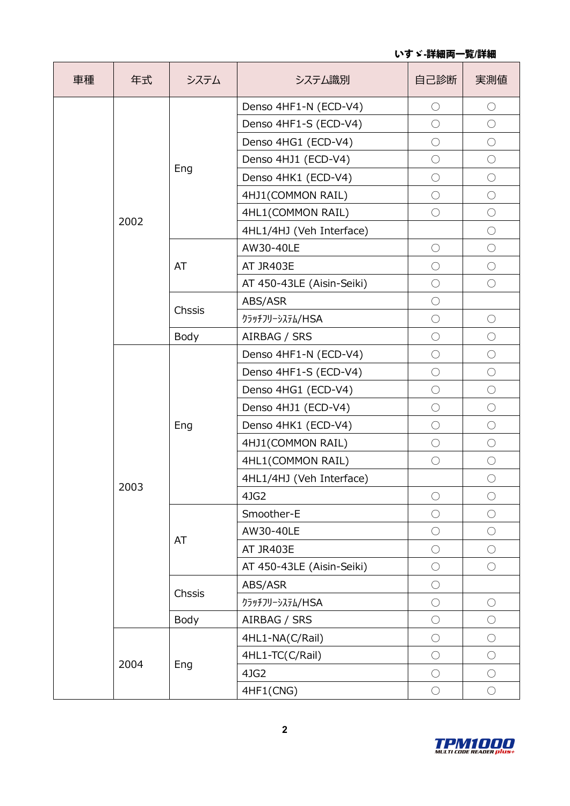| 車種 | 年式   | システム   | システム識別                    | 自己診断       | 実測値        |
|----|------|--------|---------------------------|------------|------------|
|    |      |        | Denso 4HF1-N (ECD-V4)     | $\bigcirc$ | $\bigcirc$ |
|    |      |        | Denso 4HF1-S (ECD-V4)     | $\bigcirc$ | $\bigcirc$ |
|    |      |        | Denso 4HG1 (ECD-V4)       | $\bigcirc$ | $\bigcirc$ |
|    |      |        | Denso 4HJ1 (ECD-V4)       | $\bigcirc$ | $\bigcirc$ |
|    |      | Eng    | Denso 4HK1 (ECD-V4)       | $\bigcirc$ | $\bigcirc$ |
|    |      |        | 4HJ1(COMMON RAIL)         | $\bigcirc$ | $\bigcirc$ |
|    |      |        | 4HL1(COMMON RAIL)         | $\bigcirc$ | $\bigcirc$ |
|    | 2002 |        | 4HL1/4HJ (Veh Interface)  |            | $\bigcirc$ |
|    |      |        | AW30-40LE                 | $\bigcirc$ | $\bigcirc$ |
|    |      | AT     | AT JR403E                 | $\bigcirc$ | $\bigcirc$ |
|    |      |        | AT 450-43LE (Aisin-Seiki) | $\bigcirc$ | $\bigcirc$ |
|    |      |        | ABS/ASR                   | $\bigcirc$ |            |
|    |      | Chssis | クラッチフリーシステム/HSA           | $\bigcirc$ | $\bigcirc$ |
|    |      | Body   | AIRBAG / SRS              | $\bigcirc$ | $\bigcirc$ |
|    |      | Eng    | Denso 4HF1-N (ECD-V4)     | $\bigcirc$ | $\bigcirc$ |
|    |      |        | Denso 4HF1-S (ECD-V4)     | $\bigcirc$ | $\bigcirc$ |
|    |      |        | Denso 4HG1 (ECD-V4)       | $\bigcirc$ | $\bigcirc$ |
|    |      |        | Denso 4HJ1 (ECD-V4)       | $\bigcirc$ | $\bigcirc$ |
|    |      |        | Denso 4HK1 (ECD-V4)       | $\bigcirc$ | $\bigcirc$ |
|    |      |        | 4HJ1(COMMON RAIL)         | $\bigcirc$ | $\bigcirc$ |
|    |      |        | 4HL1(COMMON RAIL)         | $\bigcirc$ | $\bigcirc$ |
|    |      |        | 4HL1/4HJ (Veh Interface)  |            | $\bigcirc$ |
|    | 2003 |        | 4JG2                      | $\bigcirc$ | $\bigcirc$ |
|    |      |        | Smoother-E                | $\bigcirc$ | $\bigcirc$ |
|    |      |        | AW30-40LE                 | $\bigcirc$ | $\bigcirc$ |
|    |      | AT     | AT JR403E                 | $\bigcirc$ | $\bigcirc$ |
|    |      |        | AT 450-43LE (Aisin-Seiki) | $\bigcirc$ | $\bigcirc$ |
|    |      |        | ABS/ASR                   | $\bigcirc$ |            |
|    |      | Chssis | クラッチフリーシステム/HSA           | $\bigcirc$ | $\bigcirc$ |
|    |      | Body   | AIRBAG / SRS              | $\bigcirc$ | $\bigcirc$ |
|    |      |        | 4HL1-NA(C/Rail)           | $\bigcirc$ | $\bigcirc$ |
|    |      |        | 4HL1-TC(C/Rail)           | $\bigcirc$ | $\bigcirc$ |
|    | 2004 | Eng    | 4JG2                      | $\bigcirc$ | $\bigcirc$ |
|    |      |        | 4HF1(CNG)                 | $\bigcirc$ | $\bigcirc$ |

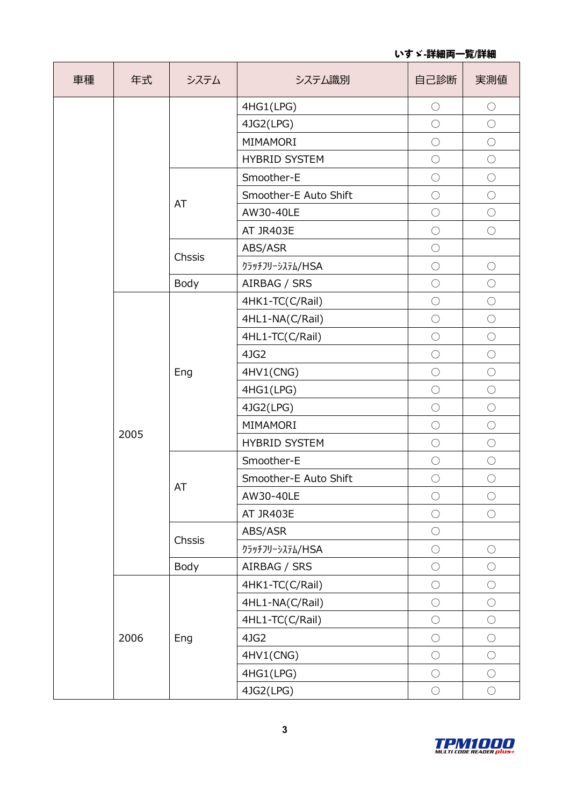いすゞ**-**詳細両一覧**/**詳細

| 車種 | 年式   | システム   | システム識別                | 自己診断       | 実測値        |
|----|------|--------|-----------------------|------------|------------|
|    |      |        | 4HG1(LPG)             | $\bigcirc$ | $\bigcirc$ |
|    |      |        | 4JG2(LPG)             | $\bigcirc$ | $\bigcirc$ |
|    |      |        | MIMAMORI              | $\bigcirc$ | $\bigcirc$ |
|    |      |        | <b>HYBRID SYSTEM</b>  | $\bigcirc$ | $\bigcirc$ |
|    |      |        | Smoother-E            | $\bigcirc$ | $\bigcirc$ |
|    |      | AT     | Smoother-E Auto Shift | $\bigcirc$ | $\bigcirc$ |
|    |      |        | AW30-40LE             | $\bigcirc$ | $\bigcirc$ |
|    |      |        | AT JR403E             | $\bigcirc$ | $\bigcirc$ |
|    |      | Chssis | ABS/ASR               | $\bigcirc$ |            |
|    |      |        | クラッチフリーシステム/HSA       | $\bigcirc$ | $\bigcirc$ |
|    |      | Body   | AIRBAG / SRS          | $\bigcirc$ | $\bigcirc$ |
|    |      |        | 4HK1-TC(C/Rail)       | $\bigcirc$ | $\bigcirc$ |
|    |      |        | 4HL1-NA(C/Rail)       | $\bigcirc$ | $\bigcirc$ |
|    |      | Eng    | 4HL1-TC(C/Rail)       | $\bigcirc$ | $\bigcirc$ |
|    |      |        | 4JG2                  | $\bigcirc$ | $\bigcirc$ |
|    |      |        | 4HV1(CNG)             | $\bigcirc$ | $\bigcirc$ |
|    |      |        | 4HG1(LPG)             | $\bigcirc$ | $\bigcirc$ |
|    |      |        | 4JG2(LPG)             | $\bigcirc$ | $\bigcirc$ |
|    |      |        | MIMAMORI              | $\bigcirc$ | $\bigcirc$ |
|    | 2005 |        | <b>HYBRID SYSTEM</b>  | $\bigcirc$ | $\bigcirc$ |
|    |      | AT     | Smoother-E            | $\bigcirc$ | $\bigcirc$ |
|    |      |        | Smoother-E Auto Shift | $\bigcirc$ | $\bigcirc$ |
|    |      |        | AW30-40LE             | $\bigcirc$ | $\bigcirc$ |
|    |      |        | AT JR403E             | $\bigcirc$ | $\bigcirc$ |
|    |      |        | ABS/ASR               | $\bigcirc$ |            |
|    |      | Chssis | クラッチフリーシステム/HSA       | $\bigcirc$ | $\bigcirc$ |
|    |      | Body   | AIRBAG / SRS          | $\bigcirc$ | $\bigcirc$ |
|    |      |        | 4HK1-TC(C/Rail)       | $\bigcirc$ | $\bigcirc$ |
|    |      |        | 4HL1-NA(C/Rail)       | $\bigcirc$ | $\bigcirc$ |
|    |      |        | 4HL1-TC(C/Rail)       | $\bigcirc$ | $\bigcirc$ |
|    | 2006 | Eng    | 4JG2                  | $\bigcirc$ | $\bigcirc$ |
|    |      |        | 4HV1(CNG)             | $\bigcirc$ | $\bigcirc$ |
|    |      |        | 4HG1(LPG)             | $\bigcirc$ | $\bigcirc$ |
|    |      |        | 4JG2(LPG)             | $\bigcirc$ | $\bigcirc$ |

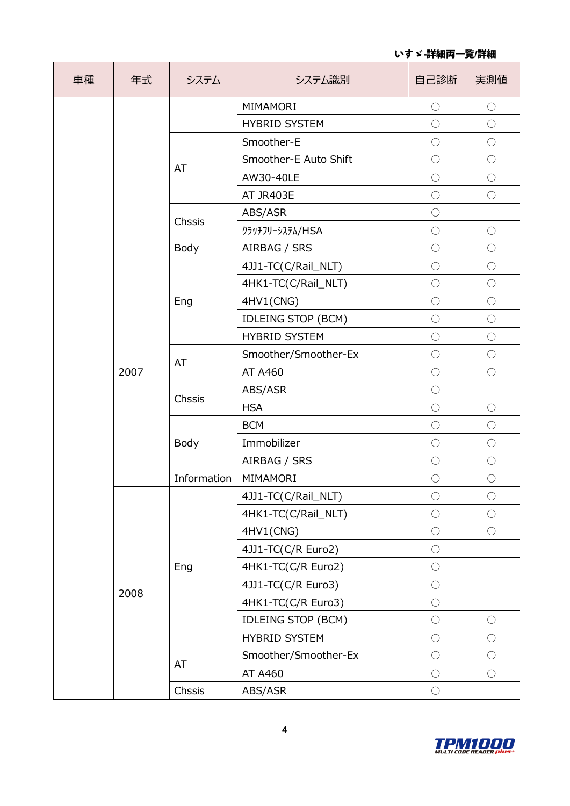| 車種 | 年式   | システム        | システム識別                    | 自己診断       | 実測値        |
|----|------|-------------|---------------------------|------------|------------|
|    |      |             | MIMAMORI                  | $\bigcirc$ | $\bigcirc$ |
|    |      |             | <b>HYBRID SYSTEM</b>      | $\bigcirc$ | $\bigcirc$ |
|    |      |             | Smoother-E                | $\bigcirc$ | $\bigcirc$ |
|    |      | AT          | Smoother-E Auto Shift     | $\bigcirc$ | $\bigcirc$ |
|    |      |             | AW30-40LE                 | $\bigcirc$ | $\bigcirc$ |
|    |      |             | AT JR403E                 | $\bigcirc$ | $\bigcirc$ |
|    |      | Chssis      | ABS/ASR                   | $\bigcirc$ |            |
|    |      |             | クラッチフリーシステム/HSA           | $\bigcirc$ | $\bigcirc$ |
|    |      | Body        | AIRBAG / SRS              | $\bigcirc$ | $\bigcirc$ |
|    |      |             | 4JJ1-TC(C/Rail_NLT)       | $\bigcirc$ | $\bigcirc$ |
|    |      |             | 4HK1-TC(C/Rail_NLT)       | $\bigcirc$ | $\bigcirc$ |
|    |      | Eng         | 4HV1(CNG)                 | $\bigcirc$ | $\bigcirc$ |
|    | 2007 |             | <b>IDLEING STOP (BCM)</b> | $\bigcirc$ | $\bigcirc$ |
|    |      |             | <b>HYBRID SYSTEM</b>      | $\bigcirc$ | $\bigcirc$ |
|    |      | AT          | Smoother/Smoother-Ex      | $\bigcirc$ | $\bigcirc$ |
|    |      |             | AT A460                   | $\bigcirc$ | $\bigcirc$ |
|    |      | Chssis      | ABS/ASR                   | $\bigcirc$ |            |
|    |      |             | <b>HSA</b>                | $\bigcirc$ | $\bigcirc$ |
|    |      | Body        | <b>BCM</b>                | $\bigcirc$ | $\bigcirc$ |
|    |      |             | Immobilizer               | $\bigcirc$ | $\bigcirc$ |
|    |      |             | AIRBAG / SRS              | $\bigcirc$ | $\bigcirc$ |
|    |      | Information | MIMAMORI                  | $\bigcirc$ | $\bigcirc$ |
|    |      |             | 4JJ1-TC(C/Rail_NLT)       | $\bigcirc$ | $\bigcirc$ |
|    |      |             | 4HK1-TC(C/Rail_NLT)       | $\bigcirc$ | $\bigcirc$ |
|    |      |             | 4HV1(CNG)                 | $\bigcirc$ | $\bigcirc$ |
|    |      |             | 4JJ1-TC(C/R Euro2)        | $\bigcirc$ |            |
|    |      | Eng         | 4HK1-TC(C/R Euro2)        | $\bigcirc$ |            |
|    | 2008 |             | 4JJ1-TC(C/R Euro3)        | $\bigcirc$ |            |
|    |      |             | 4HK1-TC(C/R Euro3)        | $\bigcirc$ |            |
|    |      |             | IDLEING STOP (BCM)        | $\bigcirc$ | $\bigcirc$ |
|    |      |             | <b>HYBRID SYSTEM</b>      | $\bigcirc$ | $\bigcirc$ |
|    |      | AT          | Smoother/Smoother-Ex      | $\bigcirc$ | $\bigcirc$ |
|    |      |             | AT A460                   | $\bigcirc$ | $\bigcirc$ |
|    |      | Chssis      | ABS/ASR                   | $\bigcirc$ |            |

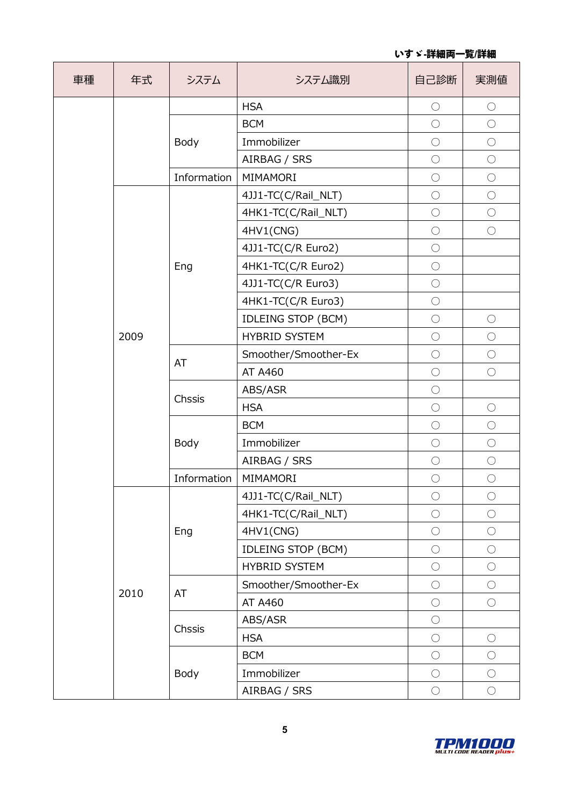いすゞ**-**詳細両一覧**/**詳細

| 車種 | 年式   | システム        | システム識別                    | 自己診断       | 実測値        |
|----|------|-------------|---------------------------|------------|------------|
|    |      |             | <b>HSA</b>                | $\bigcirc$ | $\bigcirc$ |
|    |      |             | <b>BCM</b>                | $\bigcirc$ | $\bigcirc$ |
|    |      | Body        | Immobilizer               | $\bigcirc$ | $\bigcirc$ |
|    |      |             | AIRBAG / SRS              | $\bigcirc$ | $\bigcirc$ |
|    |      | Information | MIMAMORI                  | $\bigcirc$ | $\bigcirc$ |
|    |      |             | 4JJ1-TC(C/Rail_NLT)       | $\bigcirc$ | $\bigcirc$ |
|    |      |             | 4HK1-TC(C/Rail_NLT)       | $\bigcirc$ | $\bigcirc$ |
|    |      |             | 4HV1(CNG)                 | $\bigcirc$ | $\bigcirc$ |
|    |      |             | 4JJ1-TC(C/R Euro2)        | $\bigcirc$ |            |
|    |      | Eng         | 4HK1-TC(C/R Euro2)        | $\bigcirc$ |            |
|    |      |             | 4JJ1-TC(C/R Euro3)        | $\bigcirc$ |            |
|    |      |             | 4HK1-TC(C/R Euro3)        | $\bigcirc$ |            |
|    | 2009 |             | <b>IDLEING STOP (BCM)</b> | $\bigcirc$ | $\bigcirc$ |
|    |      |             | <b>HYBRID SYSTEM</b>      | $\bigcirc$ | $\bigcirc$ |
|    |      | AT          | Smoother/Smoother-Ex      | $\bigcirc$ | $\bigcirc$ |
|    |      |             | AT A460                   | $\bigcirc$ | $\bigcirc$ |
|    |      | Chssis      | ABS/ASR                   | $\bigcirc$ |            |
|    |      |             | <b>HSA</b>                | $\bigcirc$ | $\bigcirc$ |
|    |      | Body        | <b>BCM</b>                | $\bigcirc$ | $\bigcirc$ |
|    |      |             | Immobilizer               | $\bigcirc$ | $\bigcirc$ |
|    |      |             | AIRBAG / SRS              | $\bigcirc$ | $\bigcirc$ |
|    |      | Information | MIMAMORI                  | $\bigcirc$ | $\bigcirc$ |
|    |      |             | 4JJ1-TC(C/Rail_NLT)       | $\bigcirc$ | $\bigcirc$ |
|    |      |             | 4HK1-TC(C/Rail_NLT)       | $\bigcirc$ | $\bigcirc$ |
|    |      | Eng         | 4HV1(CNG)                 | $\bigcirc$ | $\bigcirc$ |
|    |      |             | <b>IDLEING STOP (BCM)</b> | $\bigcirc$ | $\bigcirc$ |
|    |      |             | <b>HYBRID SYSTEM</b>      | $\bigcirc$ | $\bigcirc$ |
|    |      |             | Smoother/Smoother-Ex      | $\bigcirc$ | $\bigcirc$ |
|    | 2010 | AT          | AT A460                   | $\bigcirc$ | $\bigcirc$ |
|    |      |             | ABS/ASR                   | $\bigcirc$ |            |
|    |      | Chssis      | <b>HSA</b>                | $\bigcirc$ | $\bigcirc$ |
|    |      |             | <b>BCM</b>                | $\bigcirc$ | $\bigcirc$ |
|    |      | Body        | Immobilizer               | $\bigcirc$ | $\bigcirc$ |
|    |      |             | AIRBAG / SRS              | $\bigcirc$ | $\bigcirc$ |

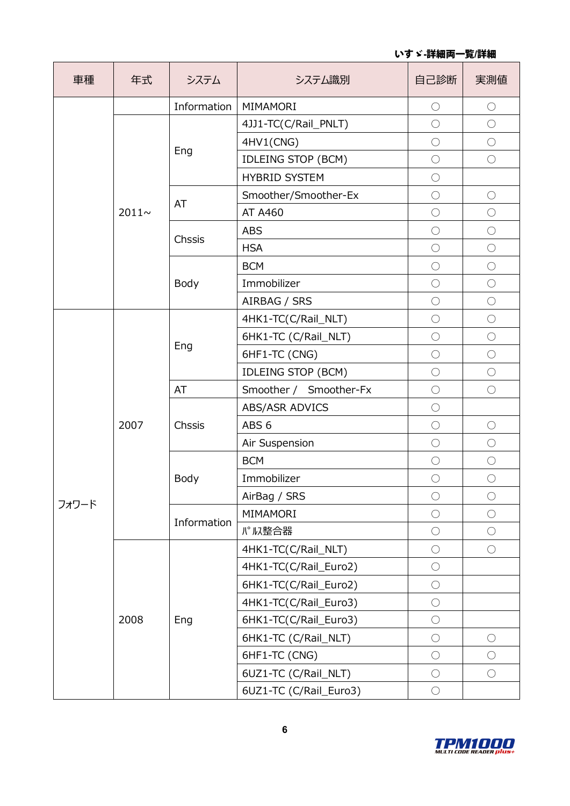| 車種    | 年式          | システム        | システム識別                    | 自己診断       | 実測値        |
|-------|-------------|-------------|---------------------------|------------|------------|
|       |             | Information | MIMAMORI                  | $\bigcirc$ | $\bigcirc$ |
|       |             |             | 4JJ1-TC(C/Rail_PNLT)      | $\bigcirc$ | $\bigcirc$ |
|       |             |             | 4HV1(CNG)                 | $\bigcirc$ | $\bigcirc$ |
|       | $2011 \sim$ | Eng         | <b>IDLEING STOP (BCM)</b> | $\bigcirc$ | $\bigcirc$ |
|       |             |             | <b>HYBRID SYSTEM</b>      | $\bigcirc$ |            |
|       |             | AT          | Smoother/Smoother-Ex      | $\bigcirc$ | $\bigcirc$ |
|       |             |             | AT A460                   | $\bigcirc$ | $\bigcirc$ |
|       |             | Chssis      | <b>ABS</b>                | $\bigcirc$ | $\bigcirc$ |
|       |             |             | <b>HSA</b>                | $\bigcirc$ | $\bigcirc$ |
|       |             |             | <b>BCM</b>                | $\bigcirc$ | $\bigcirc$ |
|       |             | Body        | Immobilizer               | $\bigcirc$ | $\bigcirc$ |
|       |             |             | AIRBAG / SRS              | $\bigcirc$ | $\bigcirc$ |
|       | 2007        | Eng         | 4HK1-TC(C/Rail_NLT)       | $\bigcirc$ | $\bigcirc$ |
|       |             |             | 6HK1-TC (C/Rail_NLT)      | $\bigcirc$ | $\bigcirc$ |
|       |             |             | 6HF1-TC (CNG)             | $\bigcirc$ | $\bigcirc$ |
|       |             |             | <b>IDLEING STOP (BCM)</b> | $\bigcirc$ | $\bigcirc$ |
|       |             | AT          | Smoother / Smoother-Fx    | $\bigcirc$ | $\bigcirc$ |
|       |             | Chssis      | <b>ABS/ASR ADVICS</b>     | $\bigcirc$ |            |
|       |             |             | ABS <sub>6</sub>          | $\bigcirc$ | $\bigcirc$ |
|       |             |             | Air Suspension            | $\bigcirc$ | $\bigcirc$ |
|       |             | Body        | <b>BCM</b>                | $\bigcirc$ | $\bigcirc$ |
|       |             |             | Immobilizer               | $\bigcirc$ | $\bigcirc$ |
| フォワード |             |             | AirBag / SRS              | $\bigcirc$ | $\bigcirc$ |
|       |             |             | MIMAMORI                  | $\bigcirc$ | $\bigcirc$ |
|       |             | Information | パルス整合器                    | $\bigcirc$ | $\bigcirc$ |
|       |             |             | 4HK1-TC(C/Rail_NLT)       | $\bigcirc$ | $\bigcirc$ |
|       |             |             | 4HK1-TC(C/Rail_Euro2)     | $\bigcirc$ |            |
|       |             |             | 6HK1-TC(C/Rail_Euro2)     | $\bigcirc$ |            |
|       |             |             | 4HK1-TC(C/Rail_Euro3)     | $\bigcirc$ |            |
|       | 2008        | Eng         | 6HK1-TC(C/Rail_Euro3)     | $\bigcirc$ |            |
|       |             |             | 6HK1-TC (C/Rail_NLT)      | $\bigcirc$ | $\bigcirc$ |
|       |             |             | 6HF1-TC (CNG)             | $\bigcirc$ | $\bigcirc$ |
|       |             |             | 6UZ1-TC (C/Rail_NLT)      | $\bigcirc$ | $\bigcirc$ |
|       |             |             | 6UZ1-TC (C/Rail_Euro3)    | $\bigcirc$ |            |

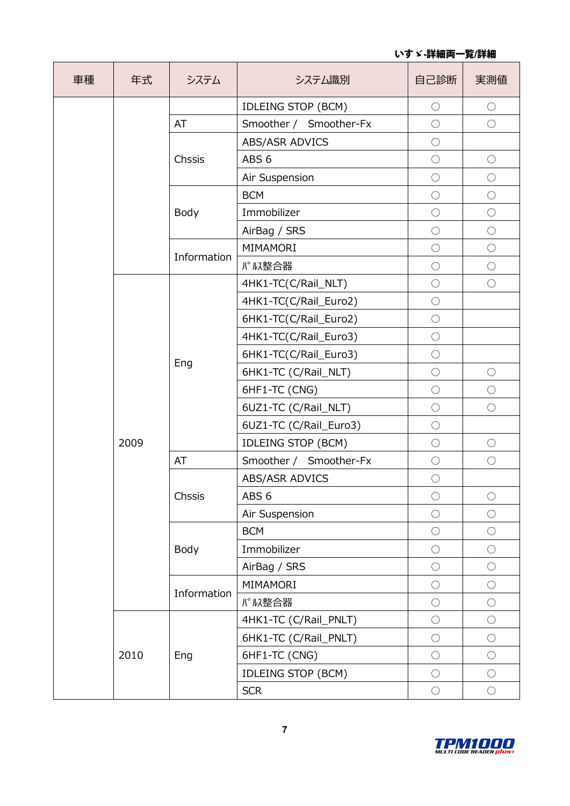| 車種 | 年式   | システム        | システム識別                    | 自己診断       | 実測値        |
|----|------|-------------|---------------------------|------------|------------|
|    |      |             | <b>IDLEING STOP (BCM)</b> | $\bigcirc$ | $\bigcirc$ |
|    |      | AT          | Smoother / Smoother-Fx    | $\bigcirc$ | $\bigcirc$ |
|    |      |             | ABS/ASR ADVICS            | $\bigcirc$ |            |
|    |      | Chssis      | ABS <sub>6</sub>          | $\bigcirc$ | $\bigcirc$ |
|    |      |             | Air Suspension            | $\bigcirc$ | $\bigcirc$ |
|    |      |             | <b>BCM</b>                | $\bigcirc$ | $\bigcirc$ |
|    |      | Body        | Immobilizer               | $\bigcirc$ | $\bigcirc$ |
|    |      |             | AirBag / SRS              | $\bigcirc$ | $\bigcirc$ |
|    |      | Information | MIMAMORI                  | $\bigcirc$ | $\bigcirc$ |
|    |      |             | パル整合器                     | $\bigcirc$ | $\bigcirc$ |
|    |      |             | 4HK1-TC(C/Rail_NLT)       | $\bigcirc$ | $\bigcirc$ |
|    |      |             | 4HK1-TC(C/Rail_Euro2)     | $\bigcirc$ |            |
|    | 2009 | Eng         | 6HK1-TC(C/Rail_Euro2)     | $\bigcirc$ |            |
|    |      |             | 4HK1-TC(C/Rail_Euro3)     | $\bigcirc$ |            |
|    |      |             | 6HK1-TC(C/Rail_Euro3)     | $\bigcirc$ |            |
|    |      |             | 6HK1-TC (C/Rail_NLT)      | $\bigcirc$ | $\bigcirc$ |
|    |      |             | 6HF1-TC (CNG)             | $\bigcirc$ | $\bigcirc$ |
|    |      |             | 6UZ1-TC (C/Rail_NLT)      | $\bigcirc$ | $\bigcirc$ |
|    |      |             | 6UZ1-TC (C/Rail_Euro3)    | $\bigcirc$ |            |
|    |      |             | <b>IDLEING STOP (BCM)</b> | $\bigcirc$ | $\bigcirc$ |
|    |      | AT          | Smoother / Smoother-Fx    | $\bigcirc$ | $\bigcirc$ |
|    |      |             | ABS/ASR ADVICS            | $\bigcirc$ |            |
|    |      | Chssis      | ABS <sub>6</sub>          | $\bigcirc$ | $\bigcirc$ |
|    |      |             | Air Suspension            | $\bigcirc$ | $\bigcirc$ |
|    |      |             | <b>BCM</b>                | $\bigcirc$ | $\bigcirc$ |
|    |      | Body        | Immobilizer               | $\bigcirc$ | $\bigcirc$ |
|    |      |             | AirBag / SRS              | $\bigcirc$ | $\bigcirc$ |
|    |      |             | MIMAMORI                  | $\bigcirc$ | $\bigcirc$ |
|    |      | Information | パル整合器                     | $\bigcirc$ | $\bigcirc$ |
|    |      |             | 4HK1-TC (C/Rail_PNLT)     | $\bigcirc$ | $\bigcirc$ |
|    |      |             | 6HK1-TC (C/Rail_PNLT)     | $\bigcirc$ | $\bigcirc$ |
|    | 2010 | Eng         | 6HF1-TC (CNG)             | $\bigcirc$ | $\bigcirc$ |
|    |      |             | <b>IDLEING STOP (BCM)</b> | $\bigcirc$ | $\bigcirc$ |
|    |      |             | <b>SCR</b>                | $\bigcirc$ | $\bigcirc$ |

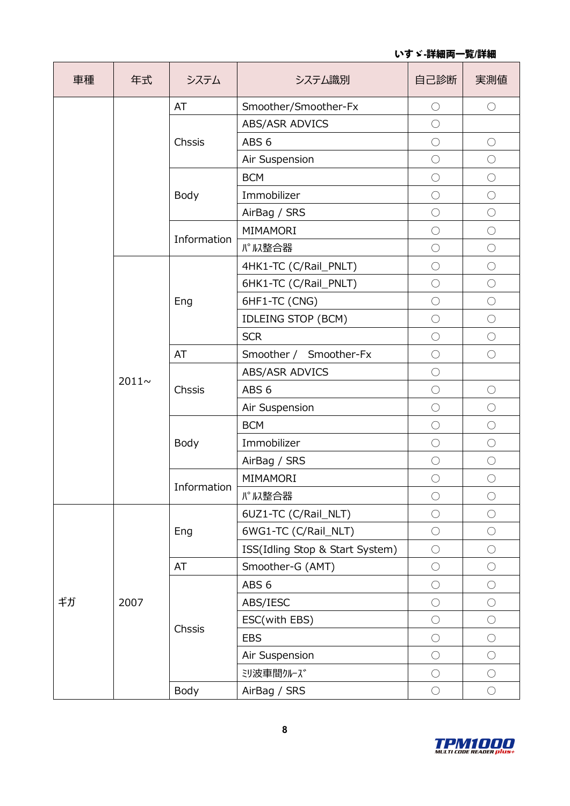| 車種 | 年式          | システム        | システム識別                          | 自己診断       | 実測値        |
|----|-------------|-------------|---------------------------------|------------|------------|
|    |             | AT          | Smoother/Smoother-Fx            | $\bigcirc$ | $\bigcirc$ |
|    |             |             | ABS/ASR ADVICS                  | $\bigcirc$ |            |
|    |             | Chssis      | ABS <sub>6</sub>                | $\bigcirc$ | $\bigcirc$ |
|    |             |             | Air Suspension                  | $\bigcirc$ | $\bigcirc$ |
|    |             |             | <b>BCM</b>                      | $\bigcirc$ | $\bigcirc$ |
|    |             | Body        | Immobilizer                     | $\bigcirc$ | $\bigcirc$ |
|    |             |             | AirBag / SRS                    | $\bigcirc$ | $\bigcirc$ |
|    |             | Information | MIMAMORI                        | $\bigcirc$ | $\bigcirc$ |
|    |             |             | パル整合器                           | $\bigcirc$ | $\bigcirc$ |
|    |             |             | 4HK1-TC (C/Rail_PNLT)           | $\bigcirc$ | $\bigcirc$ |
|    |             |             | 6HK1-TC (C/Rail_PNLT)           | $\bigcirc$ | $\bigcirc$ |
|    |             | Eng         | 6HF1-TC (CNG)                   | $\bigcirc$ | $\bigcirc$ |
|    | $2011 \sim$ |             | IDLEING STOP (BCM)              | $\bigcirc$ | $\bigcirc$ |
|    |             |             | <b>SCR</b>                      | $\bigcirc$ | $\bigcirc$ |
|    |             | AT          | Smoother / Smoother-Fx          | $\bigcirc$ | $\bigcirc$ |
|    |             | Chssis      | ABS/ASR ADVICS                  | $\bigcirc$ |            |
|    |             |             | ABS <sub>6</sub>                | $\bigcirc$ | $\bigcirc$ |
|    |             |             | Air Suspension                  | $\bigcirc$ | $\bigcirc$ |
|    |             |             | <b>BCM</b>                      | $\bigcirc$ | $\bigcirc$ |
|    |             | Body        | Immobilizer                     | $\bigcirc$ | $\bigcirc$ |
|    |             |             | AirBag / SRS                    | $\bigcirc$ | $\bigcirc$ |
|    |             |             | MIMAMORI                        | $\bigcirc$ | $\bigcirc$ |
|    |             | Information | パル整合器                           | $\bigcirc$ | $\bigcirc$ |
|    |             |             | 6UZ1-TC (C/Rail_NLT)            | $\bigcirc$ | $\bigcirc$ |
|    |             | Eng         | 6WG1-TC (C/Rail_NLT)            | $\bigcirc$ | $\bigcirc$ |
|    |             |             | ISS(Idling Stop & Start System) | $\bigcirc$ | $\bigcirc$ |
|    |             | AT          | Smoother-G (AMT)                | $\bigcirc$ | $\bigcirc$ |
| ギガ |             |             | ABS <sub>6</sub>                | $\bigcirc$ | $\bigcirc$ |
|    | 2007        |             | ABS/IESC                        | $\bigcirc$ | $\bigcirc$ |
|    |             | Chssis      | ESC(with EBS)                   | $\bigcirc$ | $\bigcirc$ |
|    |             |             | <b>EBS</b>                      | $\bigcirc$ | $\bigcirc$ |
|    |             |             | Air Suspension                  | $\bigcirc$ | $\bigcirc$ |
|    |             |             | ジ波車間クルーズ                        | $\bigcirc$ | $\bigcirc$ |
|    |             | Body        | AirBag / SRS                    | $\bigcirc$ | $\bigcirc$ |

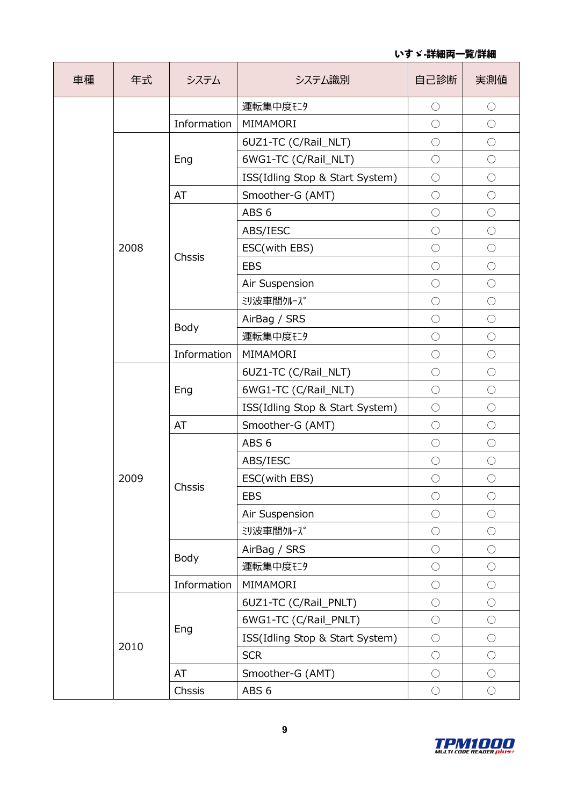| 車種 | 年式   | システム        | システム識別                          | 自己診断       | 実測値        |
|----|------|-------------|---------------------------------|------------|------------|
|    |      |             | 運転集中度ELタ                        | $\bigcirc$ | $\bigcirc$ |
|    |      | Information | MIMAMORI                        | $\bigcirc$ | $\bigcirc$ |
|    |      |             | 6UZ1-TC (C/Rail_NLT)            | $\bigcirc$ | $\bigcirc$ |
|    |      | Eng         | 6WG1-TC (C/Rail_NLT)            | $\bigcirc$ | $\bigcirc$ |
|    |      |             | ISS(Idling Stop & Start System) | $\bigcirc$ | $\bigcirc$ |
|    |      | AT          | Smoother-G (AMT)                | $\bigcirc$ | $\bigcirc$ |
|    |      |             | ABS <sub>6</sub>                | $\bigcirc$ | $\bigcirc$ |
|    |      |             | ABS/IESC                        | $\bigcirc$ | $\bigcirc$ |
|    | 2008 |             | ESC(with EBS)                   | $\bigcirc$ | $\bigcirc$ |
|    |      | Chssis      | <b>EBS</b>                      | $\bigcirc$ | $\bigcirc$ |
|    |      |             | Air Suspension                  | $\bigcirc$ | $\bigcirc$ |
|    |      |             | ジ波車間クルーズ                        | $\bigcirc$ | $\bigcirc$ |
|    |      | Body        | AirBag / SRS                    | $\bigcirc$ | $\bigcirc$ |
|    |      |             | 運転集中度ELS                        | $\bigcirc$ | $\bigcirc$ |
|    |      | Information | MIMAMORI                        | $\bigcirc$ | $\bigcirc$ |
|    | 2009 | Eng         | 6UZ1-TC (C/Rail_NLT)            | $\bigcirc$ | $\bigcirc$ |
|    |      |             | 6WG1-TC (C/Rail_NLT)            | $\bigcirc$ | $\bigcirc$ |
|    |      |             | ISS(Idling Stop & Start System) | $\bigcirc$ | $\bigcirc$ |
|    |      | AT          | Smoother-G (AMT)                | $\bigcirc$ | $\bigcirc$ |
|    |      |             | ABS <sub>6</sub>                | $\bigcirc$ | $\bigcirc$ |
|    |      |             | ABS/IESC                        | $\bigcirc$ | $\bigcirc$ |
|    |      |             | ESC(with EBS)                   | $\bigcirc$ | $\bigcirc$ |
|    |      | Chssis      | <b>EBS</b>                      | $\bigcirc$ | $\bigcirc$ |
|    |      |             | Air Suspension                  | $\bigcirc$ | $\bigcirc$ |
|    |      |             | ジ波車間クルーズ                        | $\bigcirc$ | $\bigcirc$ |
|    |      | Body        | AirBag / SRS                    | $\bigcirc$ | $\bigcirc$ |
|    |      |             | 運転集中度ELS                        | $\bigcirc$ | $\bigcirc$ |
|    |      | Information | MIMAMORI                        | $\bigcirc$ | $\bigcirc$ |
|    |      |             | 6UZ1-TC (C/Rail_PNLT)           | $\bigcirc$ | $\bigcirc$ |
|    |      | Eng         | 6WG1-TC (C/Rail_PNLT)           | $\bigcirc$ | $\bigcirc$ |
|    | 2010 |             | ISS(Idling Stop & Start System) | $\bigcirc$ | $\bigcirc$ |
|    |      |             | <b>SCR</b>                      | $\bigcirc$ | $\bigcirc$ |
|    |      | AT          | Smoother-G (AMT)                | $\bigcirc$ | $\bigcirc$ |
|    |      | Chssis      | ABS <sub>6</sub>                | $\bigcirc$ | $\bigcirc$ |

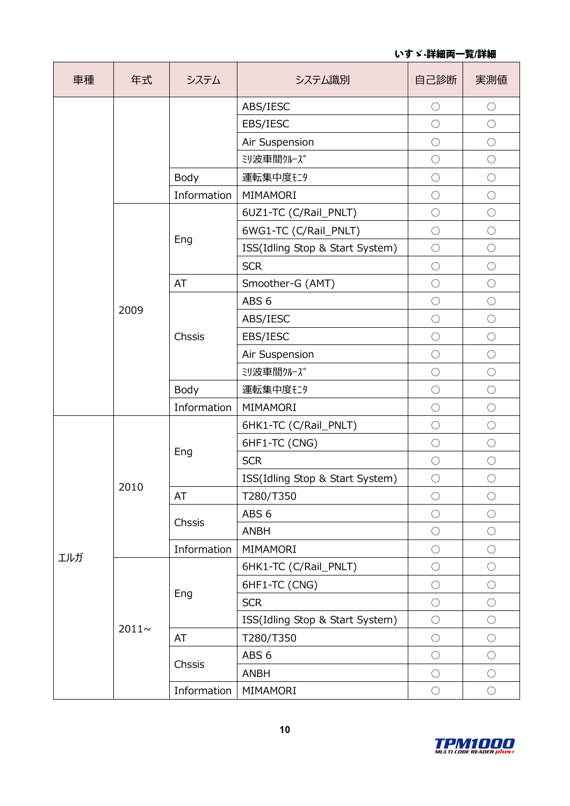いすゞ**-**詳細両一覧**/**詳細

| 車種  | 年式         | システム        | システム識別                          | 自己診断       | 実測値        |
|-----|------------|-------------|---------------------------------|------------|------------|
|     |            |             | ABS/IESC                        | $\bigcirc$ | $\bigcirc$ |
|     |            |             | EBS/IESC                        | $\bigcirc$ | $\bigcirc$ |
|     |            |             | Air Suspension                  | $\bigcirc$ | $\bigcirc$ |
|     |            |             | ジ波車間クルーズ                        | $\bigcirc$ | $\bigcirc$ |
|     |            | Body        | 運転集中度ELS                        | $\bigcirc$ | $\bigcirc$ |
|     |            | Information | MIMAMORI                        | $\bigcirc$ | $\bigcirc$ |
|     |            |             | 6UZ1-TC (C/Rail_PNLT)           | $\bigcirc$ | $\bigcirc$ |
|     |            | Eng         | 6WG1-TC (C/Rail_PNLT)           | $\bigcirc$ | $\bigcirc$ |
|     |            |             | ISS(Idling Stop & Start System) | $\bigcirc$ | $\bigcirc$ |
|     |            |             | <b>SCR</b>                      | $\bigcirc$ | $\bigcirc$ |
|     |            | AT          | Smoother-G (AMT)                | $\bigcirc$ | $\bigcirc$ |
|     | 2009       |             | ABS <sub>6</sub>                | $\bigcirc$ | $\bigcirc$ |
|     |            |             | ABS/IESC                        | $\bigcirc$ | $\bigcirc$ |
|     |            | Chssis      | EBS/IESC                        | $\bigcirc$ | $\bigcirc$ |
|     |            |             | Air Suspension                  | $\bigcirc$ | $\bigcirc$ |
|     |            |             | ジ波車間クルーズ                        | $\bigcirc$ | $\bigcirc$ |
|     |            | Body        | 運転集中度ELS                        | $\bigcirc$ | $\bigcirc$ |
|     |            | Information | MIMAMORI                        | $\bigcirc$ | $\bigcirc$ |
|     |            | Eng         | 6HK1-TC (C/Rail_PNLT)           | $\bigcirc$ | $\bigcirc$ |
|     |            |             | 6HF1-TC (CNG)                   | $\bigcirc$ | $\bigcirc$ |
|     |            |             | <b>SCR</b>                      | $\bigcirc$ | $\bigcirc$ |
|     |            |             | ISS(Idling Stop & Start System) | $\bigcirc$ | $\bigcirc$ |
|     | 2010       | AT          | T280/T350                       | $\bigcirc$ | $\bigcirc$ |
|     |            |             | ABS <sub>6</sub>                | $\bigcirc$ | $\bigcirc$ |
|     |            | Chssis      | <b>ANBH</b>                     | $\bigcirc$ | $\bigcirc$ |
| エルガ |            | Information | MIMAMORI                        | $\bigcirc$ | $\bigcirc$ |
|     |            |             | 6HK1-TC (C/Rail_PNLT)           | $\bigcirc$ | $\bigcirc$ |
|     |            |             | 6HF1-TC (CNG)                   | $\bigcirc$ | $\bigcirc$ |
|     |            | Eng         | <b>SCR</b>                      | $\bigcirc$ | $\bigcirc$ |
|     | $2011\sim$ |             | ISS(Idling Stop & Start System) | $\bigcirc$ | $\bigcirc$ |
|     |            | AT          | T280/T350                       | $\bigcirc$ | $\bigcirc$ |
|     |            |             | ABS <sub>6</sub>                | $\bigcirc$ | $\bigcirc$ |
|     |            | Chssis      | <b>ANBH</b>                     | $\bigcirc$ | $\bigcirc$ |
|     |            | Information | MIMAMORI                        | $\bigcirc$ | $\bigcirc$ |